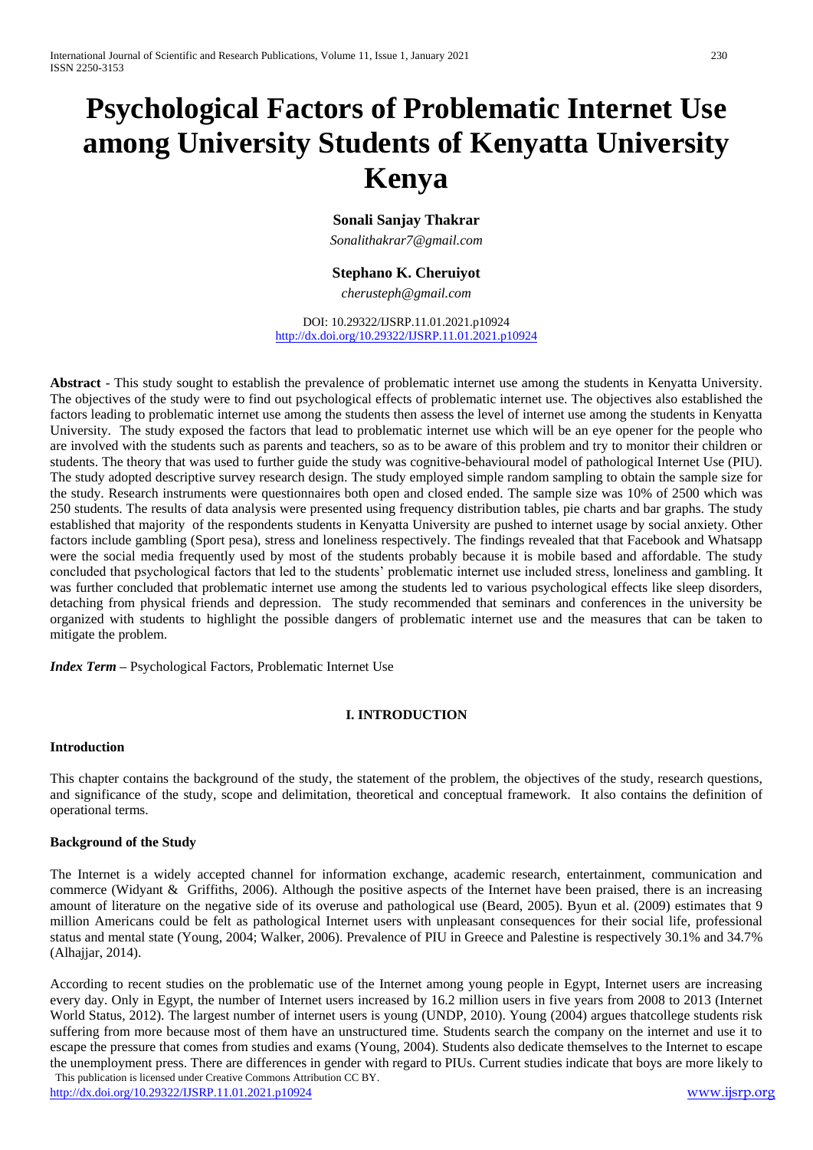# **Psychological Factors of Problematic Internet Use among University Students of Kenyatta University Kenya**

# **Sonali Sanjay Thakrar**

*Sonalithakrar7@gmail.com*

# **Stephano K. Cheruiyot**

*cherusteph@gmail.com*

DOI: 10.29322/IJSRP.11.01.2021.p10924 <http://dx.doi.org/10.29322/IJSRP.11.01.2021.p10924>

**Abstract** - This study sought to establish the prevalence of problematic internet use among the students in Kenyatta University. The objectives of the study were to find out psychological effects of problematic internet use. The objectives also established the factors leading to problematic internet use among the students then assess the level of internet use among the students in Kenyatta University. The study exposed the factors that lead to problematic internet use which will be an eye opener for the people who are involved with the students such as parents and teachers, so as to be aware of this problem and try to monitor their children or students. The theory that was used to further guide the study was cognitive-behavioural model of pathological Internet Use (PIU). The study adopted descriptive survey research design. The study employed simple random sampling to obtain the sample size for the study. Research instruments were questionnaires both open and closed ended. The sample size was 10% of 2500 which was 250 students. The results of data analysis were presented using frequency distribution tables, pie charts and bar graphs. The study established that majority of the respondents students in Kenyatta University are pushed to internet usage by social anxiety. Other factors include gambling (Sport pesa), stress and loneliness respectively. The findings revealed that that Facebook and Whatsapp were the social media frequently used by most of the students probably because it is mobile based and affordable. The study concluded that psychological factors that led to the students' problematic internet use included stress, loneliness and gambling. It was further concluded that problematic internet use among the students led to various psychological effects like sleep disorders, detaching from physical friends and depression. The study recommended that seminars and conferences in the university be organized with students to highlight the possible dangers of problematic internet use and the measures that can be taken to mitigate the problem.

*Index Term* **–** Psychological Factors, Problematic Internet Use

## **I. INTRODUCTION**

#### **Introduction**

This chapter contains the background of the study, the statement of the problem, the objectives of the study, research questions, and significance of the study, scope and delimitation, theoretical and conceptual framework. It also contains the definition of operational terms.

#### **Background of the Study**

The Internet is a widely accepted channel for information exchange, academic research, entertainment, communication and commerce (Widyant & Griffiths, 2006). Although the positive aspects of the Internet have been praised, there is an increasing amount of literature on the negative side of its overuse and pathological use (Beard, 2005). Byun et al. (2009) estimates that 9 million Americans could be felt as pathological Internet users with unpleasant consequences for their social life, professional status and mental state (Young, 2004; Walker, 2006). Prevalence of PIU in Greece and Palestine is respectively 30.1% and 34.7% (Alhajjar, 2014).

 This publication is licensed under Creative Commons Attribution CC BY. According to recent studies on the problematic use of the Internet among young people in Egypt, Internet users are increasing every day. Only in Egypt, the number of Internet users increased by 16.2 million users in five years from 2008 to 2013 (Internet World Status, 2012). The largest number of internet users is young (UNDP, 2010). Young (2004) argues thatcollege students risk suffering from more because most of them have an unstructured time. Students search the company on the internet and use it to escape the pressure that comes from studies and exams (Young, 2004). Students also dedicate themselves to the Internet to escape the unemployment press. There are differences in gender with regard to PIUs. Current studies indicate that boys are more likely to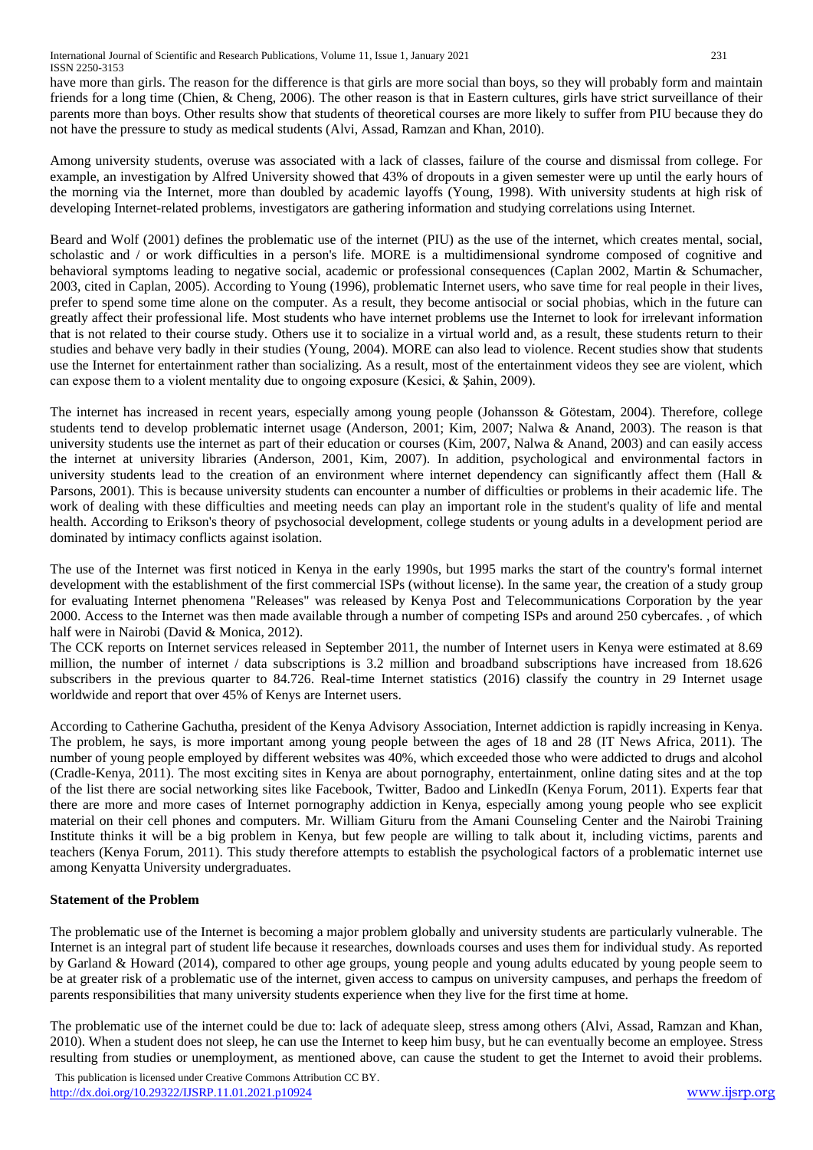have more than girls. The reason for the difference is that girls are more social than boys, so they will probably form and maintain friends for a long time (Chien, & Cheng, 2006). The other reason is that in Eastern cultures, girls have strict surveillance of their parents more than boys. Other results show that students of theoretical courses are more likely to suffer from PIU because they do not have the pressure to study as medical students (Alvi, Assad, Ramzan and Khan, 2010).

Among university students, overuse was associated with a lack of classes, failure of the course and dismissal from college. For example, an investigation by Alfred University showed that 43% of dropouts in a given semester were up until the early hours of the morning via the Internet, more than doubled by academic layoffs (Young, 1998). With university students at high risk of developing Internet-related problems, investigators are gathering information and studying correlations using Internet.

Beard and Wolf (2001) defines the problematic use of the internet (PIU) as the use of the internet, which creates mental, social, scholastic and / or work difficulties in a person's life. MORE is a multidimensional syndrome composed of cognitive and behavioral symptoms leading to negative social, academic or professional consequences (Caplan 2002, Martin & Schumacher, 2003, cited in Caplan, 2005). According to Young (1996), problematic Internet users, who save time for real people in their lives, prefer to spend some time alone on the computer. As a result, they become antisocial or social phobias, which in the future can greatly affect their professional life. Most students who have internet problems use the Internet to look for irrelevant information that is not related to their course study. Others use it to socialize in a virtual world and, as a result, these students return to their studies and behave very badly in their studies (Young, 2004). MORE can also lead to violence. Recent studies show that students use the Internet for entertainment rather than socializing. As a result, most of the entertainment videos they see are violent, which can expose them to a violent mentality due to ongoing exposure (Kesici, & Şahin, 2009).

The internet has increased in recent years, especially among young people (Johansson & Götestam, 2004). Therefore, college students tend to develop problematic internet usage (Anderson, 2001; Kim, 2007; Nalwa & Anand, 2003). The reason is that university students use the internet as part of their education or courses (Kim, 2007, Nalwa & Anand, 2003) and can easily access the internet at university libraries (Anderson, 2001, Kim, 2007). In addition, psychological and environmental factors in university students lead to the creation of an environment where internet dependency can significantly affect them (Hall & Parsons, 2001). This is because university students can encounter a number of difficulties or problems in their academic life. The work of dealing with these difficulties and meeting needs can play an important role in the student's quality of life and mental health. According to Erikson's theory of psychosocial development, college students or young adults in a development period are dominated by intimacy conflicts against isolation.

The use of the Internet was first noticed in Kenya in the early 1990s, but 1995 marks the start of the country's formal internet development with the establishment of the first commercial ISPs (without license). In the same year, the creation of a study group for evaluating Internet phenomena "Releases" was released by Kenya Post and Telecommunications Corporation by the year 2000. Access to the Internet was then made available through a number of competing ISPs and around 250 cybercafes. , of which half were in Nairobi (David & Monica, 2012).

The CCK reports on Internet services released in September 2011, the number of Internet users in Kenya were estimated at 8.69 million, the number of internet / data subscriptions is 3.2 million and broadband subscriptions have increased from 18.626 subscribers in the previous quarter to 84.726. Real-time Internet statistics (2016) classify the country in 29 Internet usage worldwide and report that over 45% of Kenys are Internet users.

According to Catherine Gachutha, president of the Kenya Advisory Association, Internet addiction is rapidly increasing in Kenya. The problem, he says, is more important among young people between the ages of 18 and 28 (IT News Africa, 2011). The number of young people employed by different websites was 40%, which exceeded those who were addicted to drugs and alcohol (Cradle-Kenya, 2011). The most exciting sites in Kenya are about pornography, entertainment, online dating sites and at the top of the list there are social networking sites like Facebook, Twitter, Badoo and LinkedIn (Kenya Forum, 2011). Experts fear that there are more and more cases of Internet pornography addiction in Kenya, especially among young people who see explicit material on their cell phones and computers. Mr. William Gituru from the Amani Counseling Center and the Nairobi Training Institute thinks it will be a big problem in Kenya, but few people are willing to talk about it, including victims, parents and teachers (Kenya Forum, 2011). This study therefore attempts to establish the psychological factors of a problematic internet use among Kenyatta University undergraduates.

# **Statement of the Problem**

The problematic use of the Internet is becoming a major problem globally and university students are particularly vulnerable. The Internet is an integral part of student life because it researches, downloads courses and uses them for individual study. As reported by Garland & Howard (2014), compared to other age groups, young people and young adults educated by young people seem to be at greater risk of a problematic use of the internet, given access to campus on university campuses, and perhaps the freedom of parents responsibilities that many university students experience when they live for the first time at home.

The problematic use of the internet could be due to: lack of adequate sleep, stress among others (Alvi, Assad, Ramzan and Khan, 2010). When a student does not sleep, he can use the Internet to keep him busy, but he can eventually become an employee. Stress resulting from studies or unemployment, as mentioned above, can cause the student to get the Internet to avoid their problems.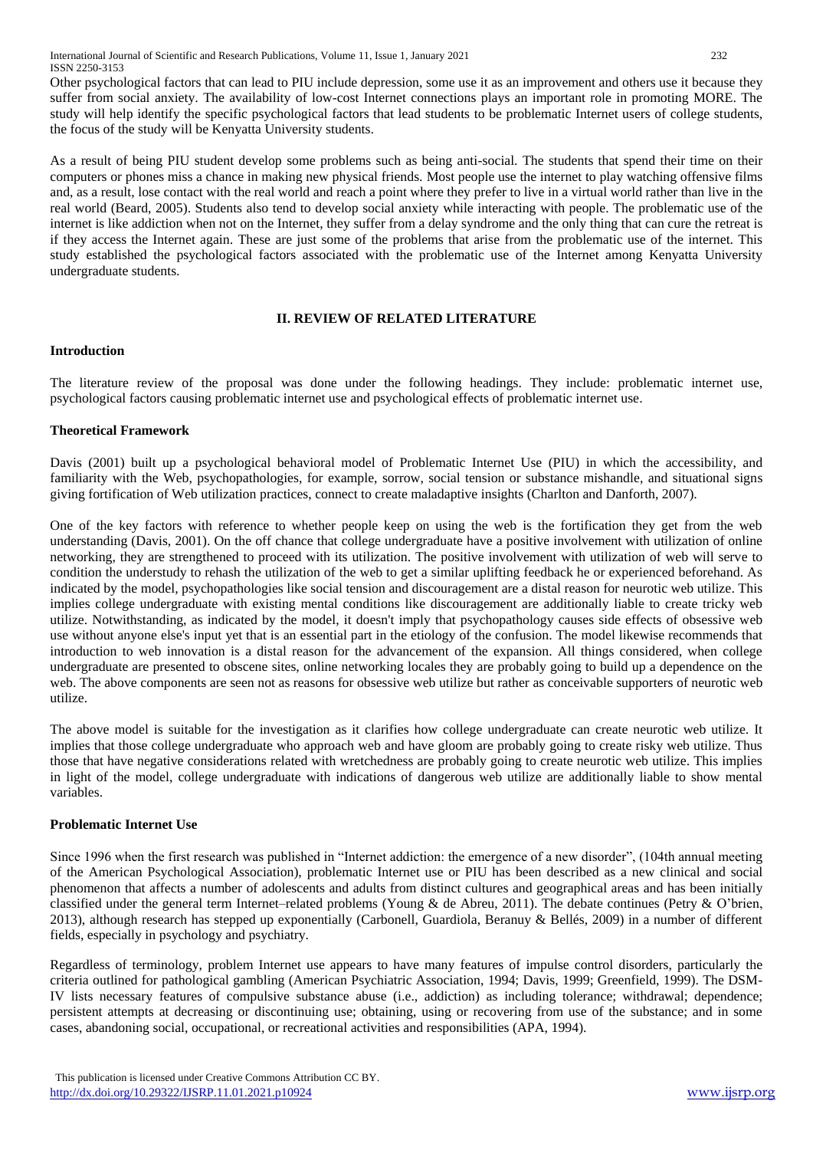Other psychological factors that can lead to PIU include depression, some use it as an improvement and others use it because they suffer from social anxiety. The availability of low-cost Internet connections plays an important role in promoting MORE. The study will help identify the specific psychological factors that lead students to be problematic Internet users of college students, the focus of the study will be Kenyatta University students.

As a result of being PIU student develop some problems such as being anti-social. The students that spend their time on their computers or phones miss a chance in making new physical friends. Most people use the internet to play watching offensive films and, as a result, lose contact with the real world and reach a point where they prefer to live in a virtual world rather than live in the real world (Beard, 2005). Students also tend to develop social anxiety while interacting with people. The problematic use of the internet is like addiction when not on the Internet, they suffer from a delay syndrome and the only thing that can cure the retreat is if they access the Internet again. These are just some of the problems that arise from the problematic use of the internet. This study established the psychological factors associated with the problematic use of the Internet among Kenyatta University undergraduate students.

## **II. REVIEW OF RELATED LITERATURE**

## **Introduction**

The literature review of the proposal was done under the following headings. They include: problematic internet use, psychological factors causing problematic internet use and psychological effects of problematic internet use.

# **Theoretical Framework**

Davis (2001) built up a psychological behavioral model of Problematic Internet Use (PIU) in which the accessibility, and familiarity with the Web, psychopathologies, for example, sorrow, social tension or substance mishandle, and situational signs giving fortification of Web utilization practices, connect to create maladaptive insights (Charlton and Danforth, 2007).

One of the key factors with reference to whether people keep on using the web is the fortification they get from the web understanding (Davis, 2001). On the off chance that college undergraduate have a positive involvement with utilization of online networking, they are strengthened to proceed with its utilization. The positive involvement with utilization of web will serve to condition the understudy to rehash the utilization of the web to get a similar uplifting feedback he or experienced beforehand. As indicated by the model, psychopathologies like social tension and discouragement are a distal reason for neurotic web utilize. This implies college undergraduate with existing mental conditions like discouragement are additionally liable to create tricky web utilize. Notwithstanding, as indicated by the model, it doesn't imply that psychopathology causes side effects of obsessive web use without anyone else's input yet that is an essential part in the etiology of the confusion. The model likewise recommends that introduction to web innovation is a distal reason for the advancement of the expansion. All things considered, when college undergraduate are presented to obscene sites, online networking locales they are probably going to build up a dependence on the web. The above components are seen not as reasons for obsessive web utilize but rather as conceivable supporters of neurotic web utilize.

The above model is suitable for the investigation as it clarifies how college undergraduate can create neurotic web utilize. It implies that those college undergraduate who approach web and have gloom are probably going to create risky web utilize. Thus those that have negative considerations related with wretchedness are probably going to create neurotic web utilize. This implies in light of the model, college undergraduate with indications of dangerous web utilize are additionally liable to show mental variables.

## **Problematic Internet Use**

Since 1996 when the first research was published in "Internet addiction: the emergence of a new disorder", (104th annual meeting of the American Psychological Association), problematic Internet use or PIU has been described as a new clinical and social phenomenon that affects a number of adolescents and adults from distinct cultures and geographical areas and has been initially classified under the general term Internet–related problems (Young & de Abreu, 2011). The debate continues (Petry & O'brien, 2013), although research has stepped up exponentially (Carbonell, Guardiola, Beranuy & Bellés, 2009) in a number of different fields, especially in psychology and psychiatry.

Regardless of terminology, problem Internet use appears to have many features of impulse control disorders, particularly the criteria outlined for pathological gambling (American Psychiatric Association, 1994; Davis, 1999; Greenfield, 1999). The DSM-IV lists necessary features of compulsive substance abuse (i.e., addiction) as including tolerance; withdrawal; dependence; persistent attempts at decreasing or discontinuing use; obtaining, using or recovering from use of the substance; and in some cases, abandoning social, occupational, or recreational activities and responsibilities (APA, 1994).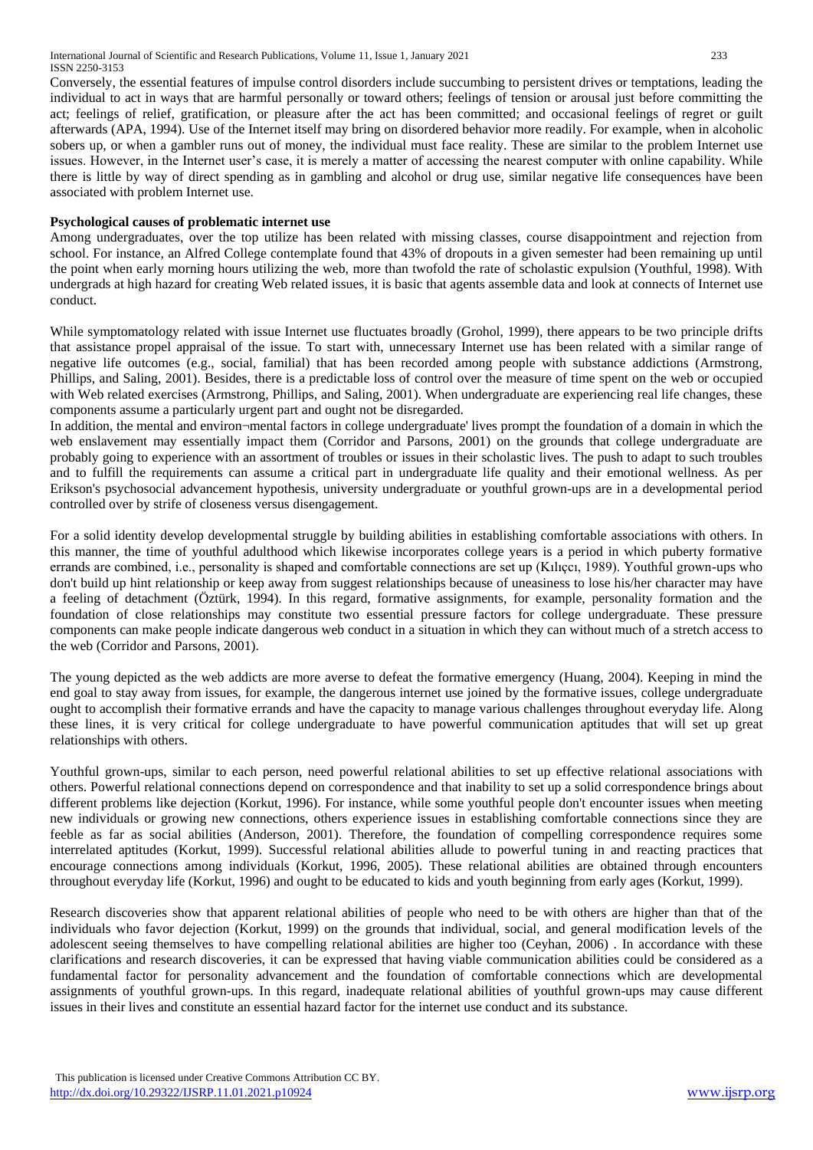Conversely, the essential features of impulse control disorders include succumbing to persistent drives or temptations, leading the individual to act in ways that are harmful personally or toward others; feelings of tension or arousal just before committing the act; feelings of relief, gratification, or pleasure after the act has been committed; and occasional feelings of regret or guilt afterwards (APA, 1994). Use of the Internet itself may bring on disordered behavior more readily. For example, when in alcoholic sobers up, or when a gambler runs out of money, the individual must face reality. These are similar to the problem Internet use issues. However, in the Internet user's case, it is merely a matter of accessing the nearest computer with online capability. While there is little by way of direct spending as in gambling and alcohol or drug use, similar negative life consequences have been associated with problem Internet use.

## **Psychological causes of problematic internet use**

Among undergraduates, over the top utilize has been related with missing classes, course disappointment and rejection from school. For instance, an Alfred College contemplate found that 43% of dropouts in a given semester had been remaining up until the point when early morning hours utilizing the web, more than twofold the rate of scholastic expulsion (Youthful, 1998). With undergrads at high hazard for creating Web related issues, it is basic that agents assemble data and look at connects of Internet use conduct.

While symptomatology related with issue Internet use fluctuates broadly (Grohol, 1999), there appears to be two principle drifts that assistance propel appraisal of the issue. To start with, unnecessary Internet use has been related with a similar range of negative life outcomes (e.g., social, familial) that has been recorded among people with substance addictions (Armstrong, Phillips, and Saling, 2001). Besides, there is a predictable loss of control over the measure of time spent on the web or occupied with Web related exercises (Armstrong, Phillips, and Saling, 2001). When undergraduate are experiencing real life changes, these components assume a particularly urgent part and ought not be disregarded.

In addition, the mental and environ¬mental factors in college undergraduate' lives prompt the foundation of a domain in which the web enslavement may essentially impact them (Corridor and Parsons, 2001) on the grounds that college undergraduate are probably going to experience with an assortment of troubles or issues in their scholastic lives. The push to adapt to such troubles and to fulfill the requirements can assume a critical part in undergraduate life quality and their emotional wellness. As per Erikson's psychosocial advancement hypothesis, university undergraduate or youthful grown-ups are in a developmental period controlled over by strife of closeness versus disengagement.

For a solid identity develop developmental struggle by building abilities in establishing comfortable associations with others. In this manner, the time of youthful adulthood which likewise incorporates college years is a period in which puberty formative errands are combined, i.e., personality is shaped and comfortable connections are set up (Kılıçcı, 1989). Youthful grown-ups who don't build up hint relationship or keep away from suggest relationships because of uneasiness to lose his/her character may have a feeling of detachment (Öztürk, 1994). In this regard, formative assignments, for example, personality formation and the foundation of close relationships may constitute two essential pressure factors for college undergraduate. These pressure components can make people indicate dangerous web conduct in a situation in which they can without much of a stretch access to the web (Corridor and Parsons, 2001).

The young depicted as the web addicts are more averse to defeat the formative emergency (Huang, 2004). Keeping in mind the end goal to stay away from issues, for example, the dangerous internet use joined by the formative issues, college undergraduate ought to accomplish their formative errands and have the capacity to manage various challenges throughout everyday life. Along these lines, it is very critical for college undergraduate to have powerful communication aptitudes that will set up great relationships with others.

Youthful grown-ups, similar to each person, need powerful relational abilities to set up effective relational associations with others. Powerful relational connections depend on correspondence and that inability to set up a solid correspondence brings about different problems like dejection (Korkut, 1996). For instance, while some youthful people don't encounter issues when meeting new individuals or growing new connections, others experience issues in establishing comfortable connections since they are feeble as far as social abilities (Anderson, 2001). Therefore, the foundation of compelling correspondence requires some interrelated aptitudes (Korkut, 1999). Successful relational abilities allude to powerful tuning in and reacting practices that encourage connections among individuals (Korkut, 1996, 2005). These relational abilities are obtained through encounters throughout everyday life (Korkut, 1996) and ought to be educated to kids and youth beginning from early ages (Korkut, 1999).

Research discoveries show that apparent relational abilities of people who need to be with others are higher than that of the individuals who favor dejection (Korkut, 1999) on the grounds that individual, social, and general modification levels of the adolescent seeing themselves to have compelling relational abilities are higher too (Ceyhan, 2006) . In accordance with these clarifications and research discoveries, it can be expressed that having viable communication abilities could be considered as a fundamental factor for personality advancement and the foundation of comfortable connections which are developmental assignments of youthful grown-ups. In this regard, inadequate relational abilities of youthful grown-ups may cause different issues in their lives and constitute an essential hazard factor for the internet use conduct and its substance.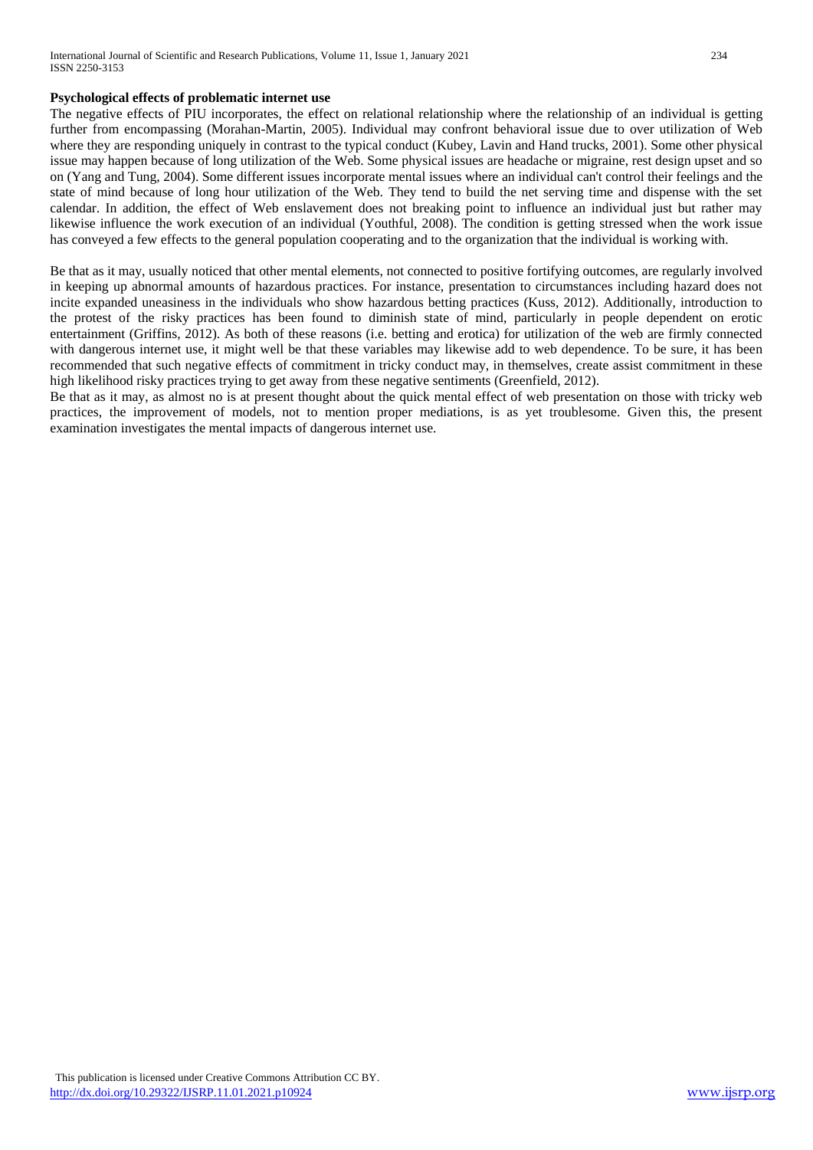## **Psychological effects of problematic internet use**

The negative effects of PIU incorporates, the effect on relational relationship where the relationship of an individual is getting further from encompassing (Morahan-Martin, 2005). Individual may confront behavioral issue due to over utilization of Web where they are responding uniquely in contrast to the typical conduct (Kubey, Lavin and Hand trucks, 2001). Some other physical issue may happen because of long utilization of the Web. Some physical issues are headache or migraine, rest design upset and so on (Yang and Tung, 2004). Some different issues incorporate mental issues where an individual can't control their feelings and the state of mind because of long hour utilization of the Web. They tend to build the net serving time and dispense with the set calendar. In addition, the effect of Web enslavement does not breaking point to influence an individual just but rather may likewise influence the work execution of an individual (Youthful, 2008). The condition is getting stressed when the work issue has conveyed a few effects to the general population cooperating and to the organization that the individual is working with.

Be that as it may, usually noticed that other mental elements, not connected to positive fortifying outcomes, are regularly involved in keeping up abnormal amounts of hazardous practices. For instance, presentation to circumstances including hazard does not incite expanded uneasiness in the individuals who show hazardous betting practices (Kuss, 2012). Additionally, introduction to the protest of the risky practices has been found to diminish state of mind, particularly in people dependent on erotic entertainment (Griffins, 2012). As both of these reasons (i.e. betting and erotica) for utilization of the web are firmly connected with dangerous internet use, it might well be that these variables may likewise add to web dependence. To be sure, it has been recommended that such negative effects of commitment in tricky conduct may, in themselves, create assist commitment in these high likelihood risky practices trying to get away from these negative sentiments (Greenfield, 2012).

Be that as it may, as almost no is at present thought about the quick mental effect of web presentation on those with tricky web practices, the improvement of models, not to mention proper mediations, is as yet troublesome. Given this, the present examination investigates the mental impacts of dangerous internet use.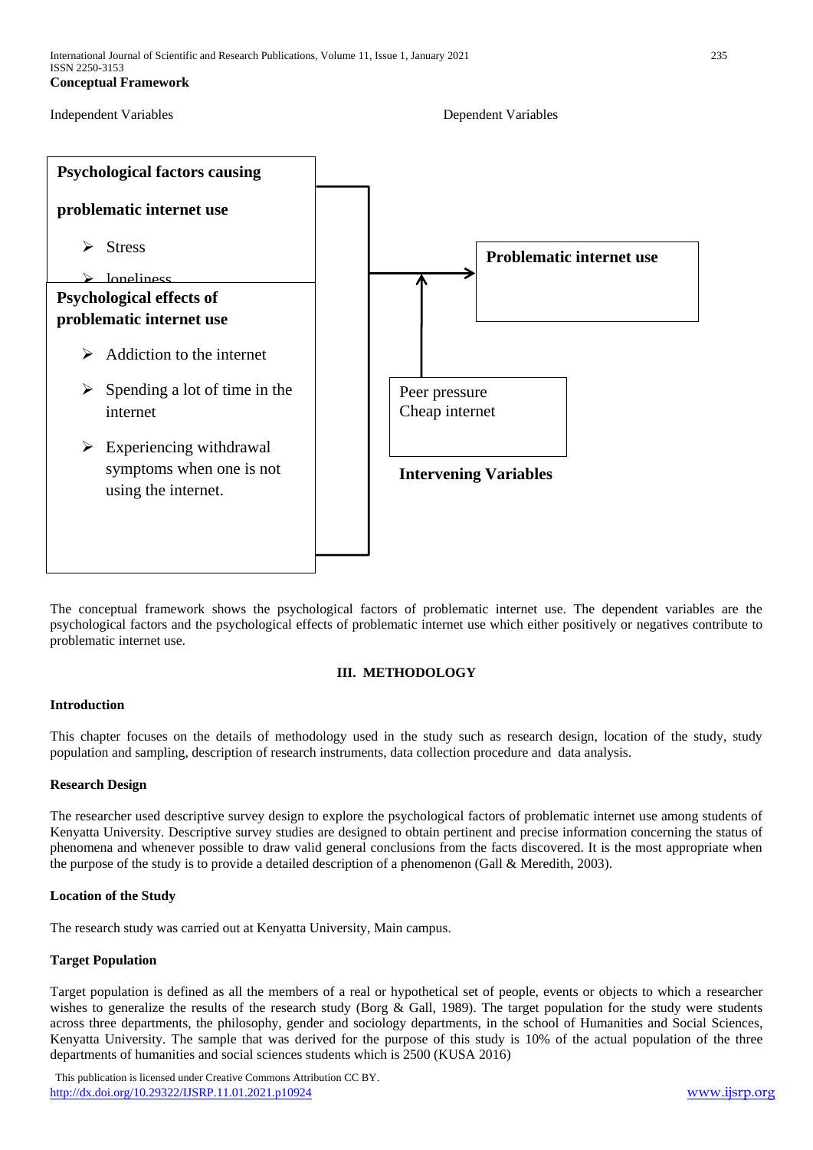```
Independent Variables Dependent Variables
```


The conceptual framework shows the psychological factors of problematic internet use. The dependent variables are the psychological factors and the psychological effects of problematic internet use which either positively or negatives contribute to problematic internet use.

## **III. METHODOLOGY**

## **Introduction**

This chapter focuses on the details of methodology used in the study such as research design, location of the study, study population and sampling, description of research instruments, data collection procedure and data analysis.

#### **Research Design**

The researcher used descriptive survey design to explore the psychological factors of problematic internet use among students of Kenyatta University. Descriptive survey studies are designed to obtain pertinent and precise information concerning the status of phenomena and whenever possible to draw valid general conclusions from the facts discovered. It is the most appropriate when the purpose of the study is to provide a detailed description of a phenomenon (Gall & Meredith, 2003).

#### **Location of the Study**

The research study was carried out at Kenyatta University, Main campus.

## **Target Population**

Target population is defined as all the members of a real or hypothetical set of people, events or objects to which a researcher wishes to generalize the results of the research study (Borg & Gall, 1989). The target population for the study were students across three departments, the philosophy, gender and sociology departments, in the school of Humanities and Social Sciences, Kenyatta University. The sample that was derived for the purpose of this study is 10% of the actual population of the three departments of humanities and social sciences students which is 2500 (KUSA 2016)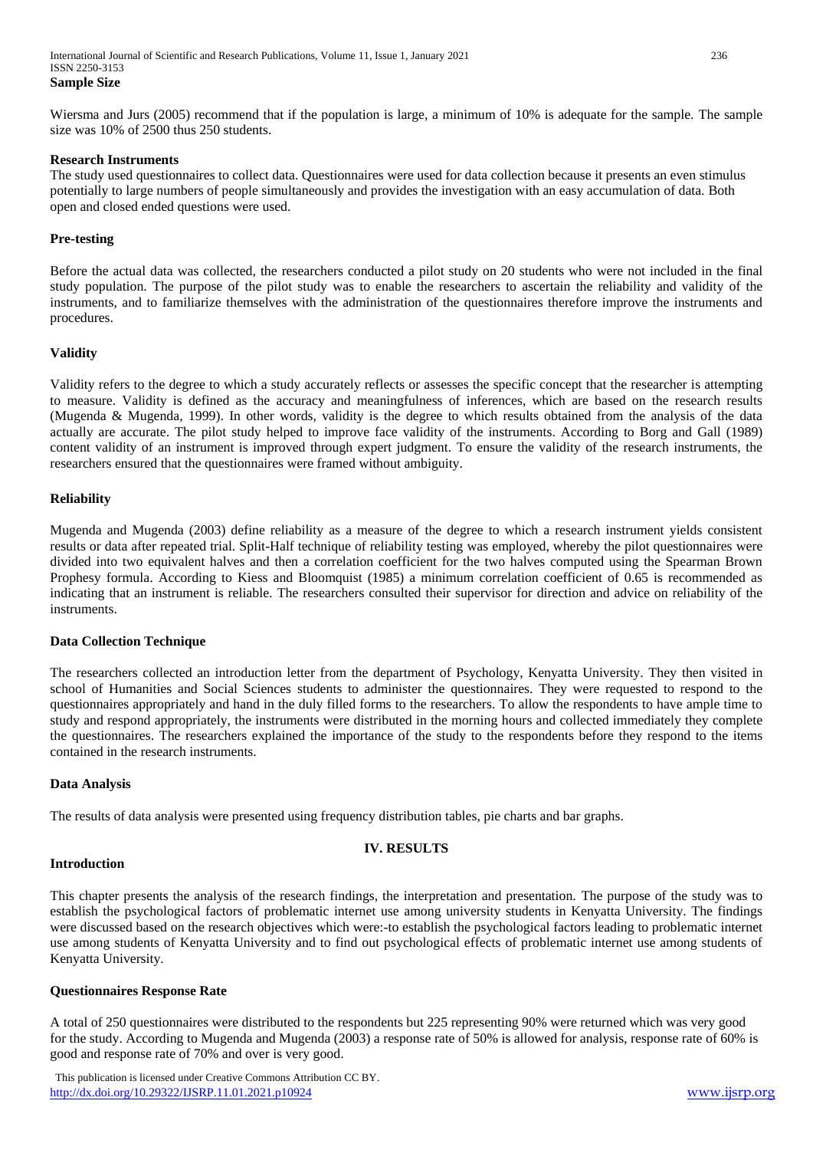Wiersma and Jurs (2005) recommend that if the population is large, a minimum of 10% is adequate for the sample. The sample size was 10% of 2500 thus 250 students.

#### **Research Instruments**

The study used questionnaires to collect data. Questionnaires were used for data collection because it presents an even stimulus potentially to large numbers of people simultaneously and provides the investigation with an easy accumulation of data. Both open and closed ended questions were used.

#### **Pre-testing**

Before the actual data was collected, the researchers conducted a pilot study on 20 students who were not included in the final study population. The purpose of the pilot study was to enable the researchers to ascertain the reliability and validity of the instruments, and to familiarize themselves with the administration of the questionnaires therefore improve the instruments and procedures.

#### **Validity**

Validity refers to the degree to which a study accurately reflects or assesses the specific concept that the researcher is attempting to measure. Validity is defined as the accuracy and meaningfulness of inferences, which are based on the research results (Mugenda & Mugenda, 1999). In other words, validity is the degree to which results obtained from the analysis of the data actually are accurate. The pilot study helped to improve face validity of the instruments. According to Borg and Gall (1989) content validity of an instrument is improved through expert judgment. To ensure the validity of the research instruments, the researchers ensured that the questionnaires were framed without ambiguity.

## **Reliability**

Mugenda and Mugenda (2003) define reliability as a measure of the degree to which a research instrument yields consistent results or data after repeated trial. Split-Half technique of reliability testing was employed, whereby the pilot questionnaires were divided into two equivalent halves and then a correlation coefficient for the two halves computed using the Spearman Brown Prophesy formula. According to Kiess and Bloomquist (1985) a minimum correlation coefficient of 0.65 is recommended as indicating that an instrument is reliable. The researchers consulted their supervisor for direction and advice on reliability of the instruments.

#### **Data Collection Technique**

The researchers collected an introduction letter from the department of Psychology, Kenyatta University. They then visited in school of Humanities and Social Sciences students to administer the questionnaires. They were requested to respond to the questionnaires appropriately and hand in the duly filled forms to the researchers. To allow the respondents to have ample time to study and respond appropriately, the instruments were distributed in the morning hours and collected immediately they complete the questionnaires. The researchers explained the importance of the study to the respondents before they respond to the items contained in the research instruments.

#### **Data Analysis**

The results of data analysis were presented using frequency distribution tables, pie charts and bar graphs.

## **IV. RESULTS**

#### **Introduction**

This chapter presents the analysis of the research findings, the interpretation and presentation. The purpose of the study was to establish the psychological factors of problematic internet use among university students in Kenyatta University. The findings were discussed based on the research objectives which were:-to establish the psychological factors leading to problematic internet use among students of Kenyatta University and to find out psychological effects of problematic internet use among students of Kenyatta University.

#### **Questionnaires Response Rate**

A total of 250 questionnaires were distributed to the respondents but 225 representing 90% were returned which was very good for the study. According to Mugenda and Mugenda (2003) a response rate of 50% is allowed for analysis, response rate of 60% is good and response rate of 70% and over is very good.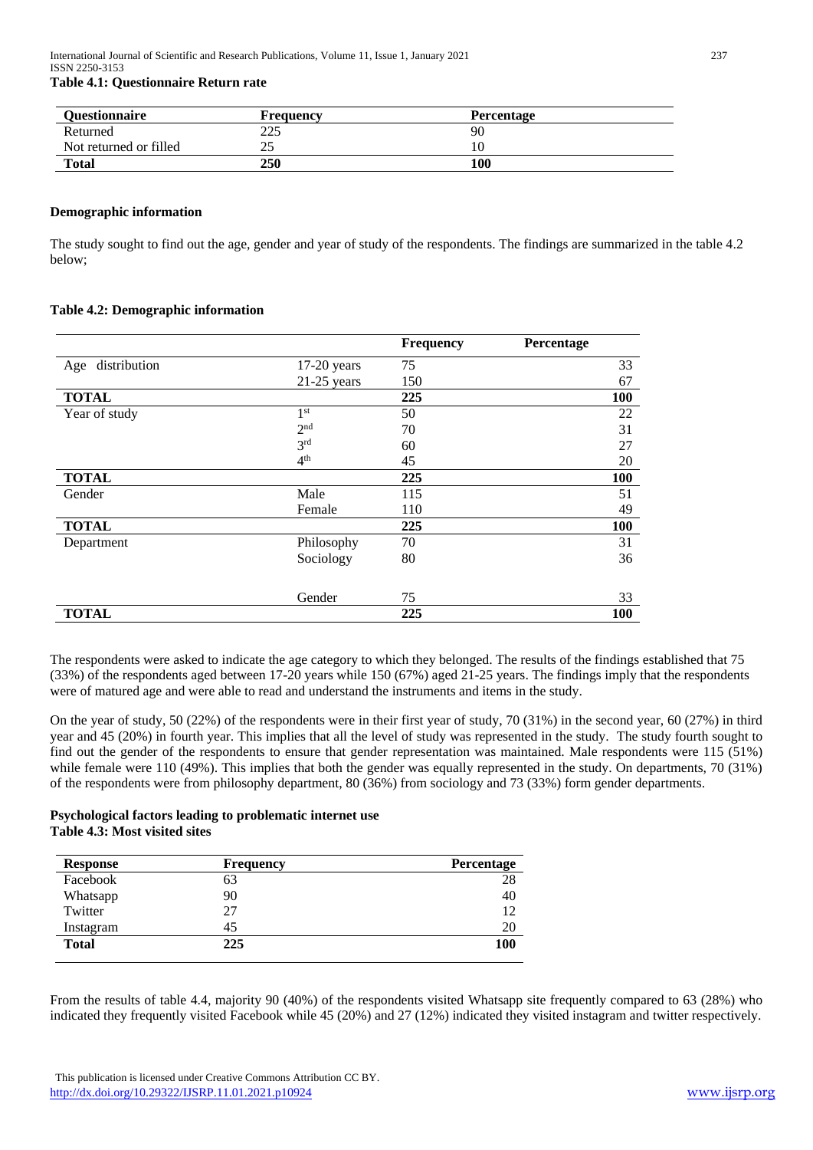# **Table 4.1: Questionnaire Return rate**

| <b>Questionnaire</b>   | <b>Frequency</b> | <b>Percentage</b> |  |
|------------------------|------------------|-------------------|--|
| Returned               | 225              | 90                |  |
| Not returned or filled | ت                |                   |  |
| Total                  | 250              | 100               |  |

#### **Demographic information**

The study sought to find out the age, gender and year of study of the respondents. The findings are summarized in the table 4.2 below;

## **Table 4.2: Demographic information**

|                  |                 | <b>Frequency</b> | Percentage |
|------------------|-----------------|------------------|------------|
| Age distribution | $17-20$ years   | 75               | 33         |
|                  | $21-25$ years   | 150              | 67         |
| <b>TOTAL</b>     |                 | 225              | 100        |
| Year of study    | 1 <sup>st</sup> | 50               | 22         |
|                  | 2 <sup>nd</sup> | 70               | 31         |
|                  | 3rd             | 60               | 27         |
|                  | 4 <sup>th</sup> | 45               | 20         |
| <b>TOTAL</b>     |                 | 225              | 100        |
| Gender           | Male            | 115              | 51         |
|                  | Female          | 110              | 49         |
| <b>TOTAL</b>     |                 | 225              | 100        |
| Department       | Philosophy      | 70               | 31         |
|                  | Sociology       | 80               | 36         |
|                  | Gender          | 75               | 33         |
| <b>TOTAL</b>     |                 | 225              | 100        |

The respondents were asked to indicate the age category to which they belonged. The results of the findings established that 75 (33%) of the respondents aged between 17-20 years while 150 (67%) aged 21-25 years. The findings imply that the respondents were of matured age and were able to read and understand the instruments and items in the study.

On the year of study, 50 (22%) of the respondents were in their first year of study, 70 (31%) in the second year, 60 (27%) in third year and 45 (20%) in fourth year. This implies that all the level of study was represented in the study. The study fourth sought to find out the gender of the respondents to ensure that gender representation was maintained. Male respondents were 115 (51%) while female were 110 (49%). This implies that both the gender was equally represented in the study. On departments, 70 (31%) of the respondents were from philosophy department, 80 (36%) from sociology and 73 (33%) form gender departments.

## **Psychological factors leading to problematic internet use Table 4.3: Most visited sites**

| <b>Frequency</b> | Percentage |
|------------------|------------|
| 63               | 28         |
| 90               | 40         |
| 27               | 12         |
| 45               | 20         |
| 225              | 100        |
|                  |            |

From the results of table 4.4, majority 90 (40%) of the respondents visited Whatsapp site frequently compared to 63 (28%) who indicated they frequently visited Facebook while 45 (20%) and 27 (12%) indicated they visited instagram and twitter respectively.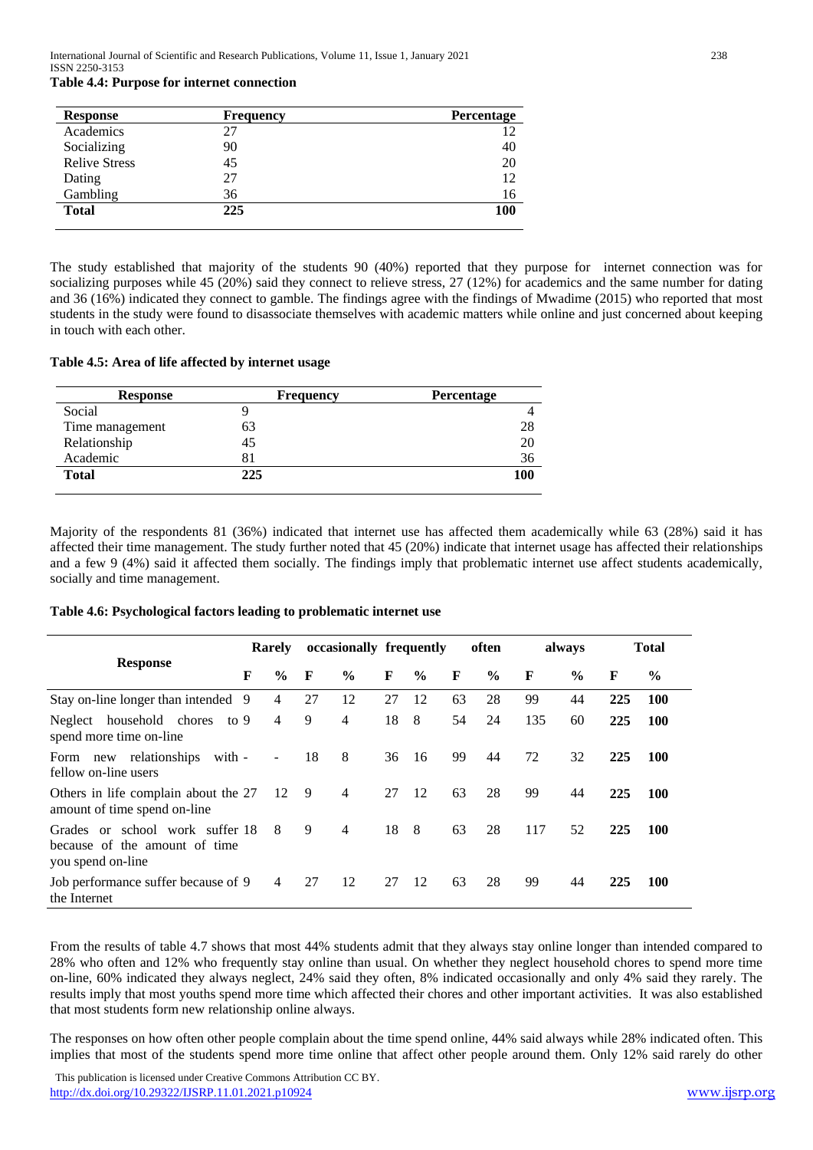| <b>Table 4.4: Purpose for internet connection</b> |  |  |  |
|---------------------------------------------------|--|--|--|
|---------------------------------------------------|--|--|--|

| <b>Response</b>      | <b>Frequency</b> | Percentage |
|----------------------|------------------|------------|
| Academics            | 27               | 12         |
| Socializing          | 90               | 40         |
| <b>Relive Stress</b> | 45               | 20         |
| Dating               | 27               | 12         |
| Gambling             | 36               | 16         |
| <b>Total</b>         | 225              | 100        |

The study established that majority of the students 90 (40%) reported that they purpose for internet connection was for socializing purposes while 45 (20%) said they connect to relieve stress, 27 (12%) for academics and the same number for dating and 36 (16%) indicated they connect to gamble. The findings agree with the findings of Mwadime (2015) who reported that most students in the study were found to disassociate themselves with academic matters while online and just concerned about keeping in touch with each other.

### **Table 4.5: Area of life affected by internet usage**

| <b>Response</b> | <b>Frequency</b> | <b>Percentage</b> |
|-----------------|------------------|-------------------|
| Social          |                  |                   |
| Time management | 63               | 28                |
| Relationship    | 45               | 20                |
| Academic        |                  | 36                |
| <b>Total</b>    | 225              | 100               |

Majority of the respondents 81 (36%) indicated that internet use has affected them academically while 63 (28%) said it has affected their time management. The study further noted that 45 (20%) indicate that internet usage has affected their relationships and a few 9 (4%) said it affected them socially. The findings imply that problematic internet use affect students academically, socially and time management.

**Table 4.6: Psychological factors leading to problematic internet use**

|                                                                                       | Rarely |                          |    | occasionally frequently |    |               |    | often         | always |               |     | <b>Total</b> |
|---------------------------------------------------------------------------------------|--------|--------------------------|----|-------------------------|----|---------------|----|---------------|--------|---------------|-----|--------------|
| <b>Response</b>                                                                       | F      | $\frac{6}{9}$            | F  | $\frac{0}{0}$           | F  | $\frac{0}{0}$ | F  | $\frac{0}{0}$ | F      | $\frac{6}{9}$ | F   | $\%$         |
| Stay on-line longer than intended                                                     | 9      | 4                        | 27 | 12                      | 27 | 12            | 63 | 28            | 99     | 44            | 225 | <b>100</b>   |
| household chores to 9<br>Neglect<br>spend more time on-line                           |        | $\overline{4}$           | 9  | 4                       | 18 | 8             | 54 | 24            | 135    | 60            | 225 | 100          |
| new relationships with -<br>Form<br>fellow on-line users                              |        | $\overline{\phantom{a}}$ | 18 | 8                       | 36 | 16            | 99 | 44            | 72     | 32            | 225 | 100          |
| Others in life complain about the 27<br>amount of time spend on-line                  |        | 12                       | -9 | $\overline{4}$          | 27 | 12            | 63 | 28            | 99     | 44            | 225 | 100          |
| Grades or school work suffer 18<br>because of the amount of time<br>you spend on-line |        | 8                        | 9  | $\overline{4}$          | 18 | - 8           | 63 | 28            | 117    | 52            | 225 | 100          |
| Job performance suffer because of 9<br>the Internet                                   |        | 4                        | 27 | 12                      | 27 | 12            | 63 | 28            | 99     | 44            | 225 | 100          |

From the results of table 4.7 shows that most 44% students admit that they always stay online longer than intended compared to 28% who often and 12% who frequently stay online than usual. On whether they neglect household chores to spend more time on-line, 60% indicated they always neglect, 24% said they often, 8% indicated occasionally and only 4% said they rarely. The results imply that most youths spend more time which affected their chores and other important activities. It was also established that most students form new relationship online always.

The responses on how often other people complain about the time spend online, 44% said always while 28% indicated often. This implies that most of the students spend more time online that affect other people around them. Only 12% said rarely do other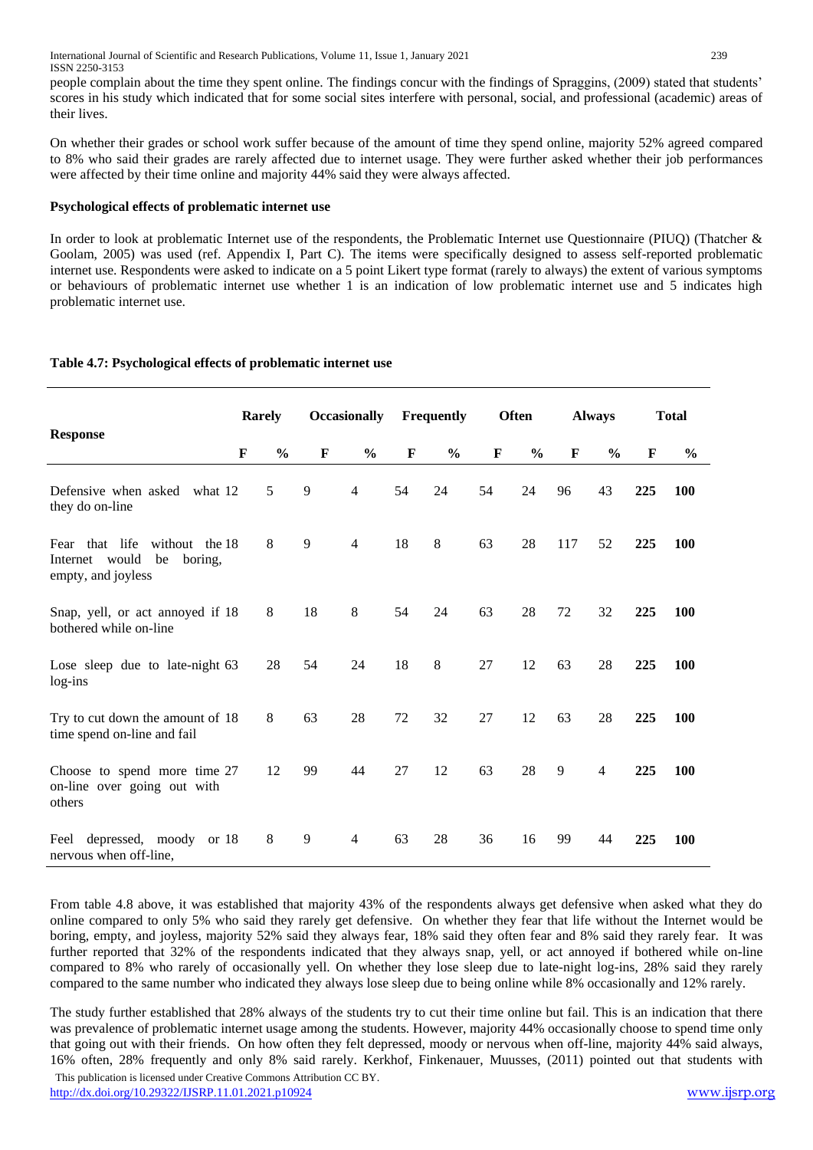people complain about the time they spent online. The findings concur with the findings of Spraggins, (2009) stated that students' scores in his study which indicated that for some social sites interfere with personal, social, and professional (academic) areas of their lives.

On whether their grades or school work suffer because of the amount of time they spend online, majority 52% agreed compared to 8% who said their grades are rarely affected due to internet usage. They were further asked whether their job performances were affected by their time online and majority 44% said they were always affected.

## **Psychological effects of problematic internet use**

In order to look at problematic Internet use of the respondents, the Problematic Internet use Questionnaire (PIUQ) (Thatcher & Goolam, 2005) was used (ref. Appendix I, Part C). The items were specifically designed to assess self-reported problematic internet use. Respondents were asked to indicate on a 5 point Likert type format (rarely to always) the extent of various symptoms or behaviours of problematic internet use whether 1 is an indication of low problematic internet use and 5 indicates high problematic internet use.

# **Table 4.7: Psychological effects of problematic internet use**

| <b>Response</b>                                                                        |   | <b>Rarely</b> |             | <b>Occasionally</b> |    | <b>Frequently</b> |    | <b>Often</b>  | <b>Always</b> |                | <b>Total</b> |               |
|----------------------------------------------------------------------------------------|---|---------------|-------------|---------------------|----|-------------------|----|---------------|---------------|----------------|--------------|---------------|
|                                                                                        | F | $\frac{0}{0}$ | $\mathbf F$ | $\frac{0}{0}$       | F  | $\frac{0}{0}$     | F  | $\frac{0}{0}$ | F             | $\frac{0}{0}$  | F            | $\frac{6}{9}$ |
| Defensive when asked what 12<br>they do on-line                                        |   | 5             | 9           | $\overline{4}$      | 54 | 24                | 54 | 24            | 96            | 43             | 225          | 100           |
| Fear that life without the 18<br>Internet would<br>be<br>boring,<br>empty, and joyless |   | 8             | 9           | $\overline{4}$      | 18 | 8                 | 63 | 28            | 117           | 52             | 225          | <b>100</b>    |
| Snap, yell, or act annoyed if 18<br>bothered while on-line                             |   | 8             | 18          | 8                   | 54 | 24                | 63 | 28            | 72            | 32             | 225          | <b>100</b>    |
| Lose sleep due to late-night 63<br>log-ins                                             |   | 28            | 54          | 24                  | 18 | 8                 | 27 | 12            | 63            | 28             | 225          | <b>100</b>    |
| Try to cut down the amount of 18<br>time spend on-line and fail                        |   | $\,8\,$       | 63          | 28                  | 72 | 32                | 27 | 12            | 63            | 28             | 225          | 100           |
| Choose to spend more time 27<br>on-line over going out with<br>others                  |   | 12            | 99          | 44                  | 27 | 12                | 63 | 28            | 9             | $\overline{4}$ | 225          | 100           |
| Feel depressed, moody or 18<br>nervous when off-line,                                  |   | 8             | 9           | 4                   | 63 | 28                | 36 | 16            | 99            | 44             | 225          | 100           |

From table 4.8 above, it was established that majority 43% of the respondents always get defensive when asked what they do online compared to only 5% who said they rarely get defensive. On whether they fear that life without the Internet would be boring, empty, and joyless, majority 52% said they always fear, 18% said they often fear and 8% said they rarely fear. It was further reported that 32% of the respondents indicated that they always snap, yell, or act annoyed if bothered while on-line compared to 8% who rarely of occasionally yell. On whether they lose sleep due to late-night log-ins, 28% said they rarely compared to the same number who indicated they always lose sleep due to being online while 8% occasionally and 12% rarely.

 This publication is licensed under Creative Commons Attribution CC BY. The study further established that 28% always of the students try to cut their time online but fail. This is an indication that there was prevalence of problematic internet usage among the students. However, majority 44% occasionally choose to spend time only that going out with their friends. On how often they felt depressed, moody or nervous when off-line, majority 44% said always, 16% often, 28% frequently and only 8% said rarely. Kerkhof, Finkenauer, Muusses, (2011) pointed out that students with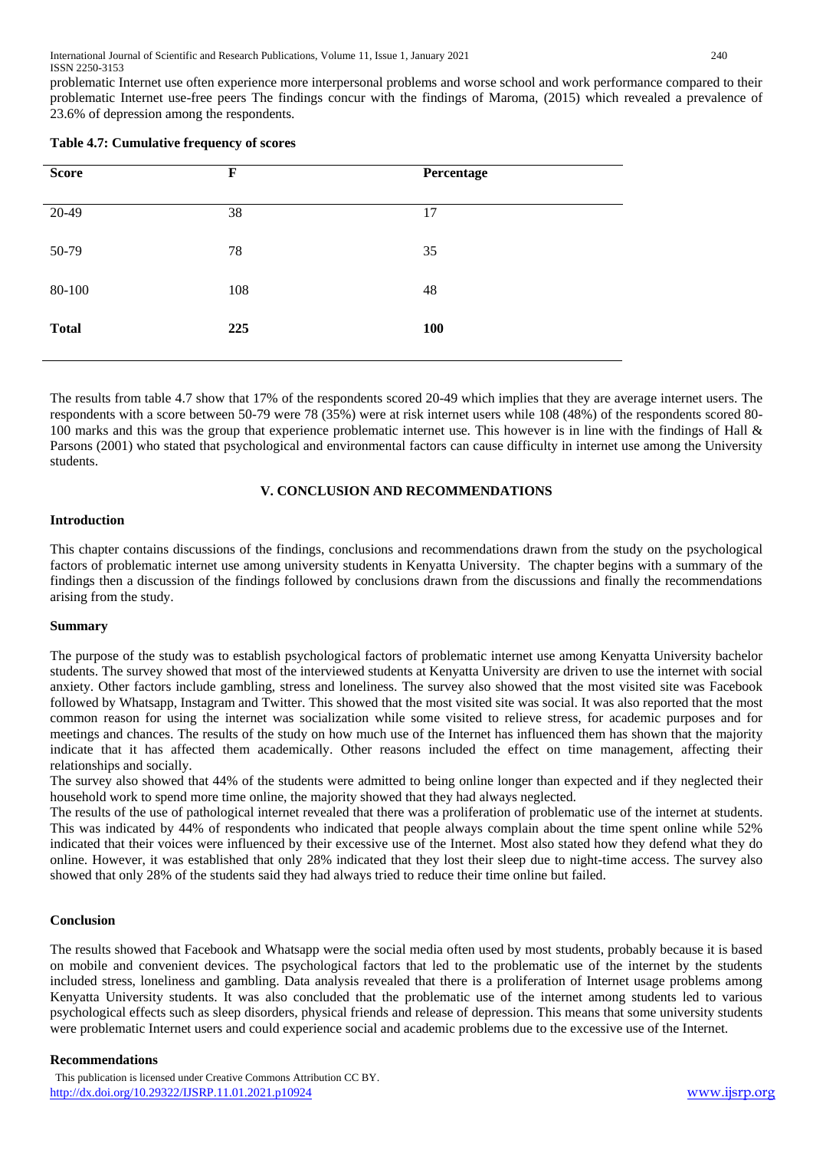problematic Internet use often experience more interpersonal problems and worse school and work performance compared to their problematic Internet use-free peers The findings concur with the findings of Maroma, (2015) which revealed a prevalence of 23.6% of depression among the respondents.

| Table 4.7: Cumulative frequency of scores |  |
|-------------------------------------------|--|
|-------------------------------------------|--|

| <b>Score</b> | $\mathbf F$ | Percentage |
|--------------|-------------|------------|
| 20-49        | 38          | 17         |
| 50-79        | 78          | 35         |
| 80-100       | 108         | 48         |
| <b>Total</b> | 225         | <b>100</b> |

The results from table 4.7 show that 17% of the respondents scored 20-49 which implies that they are average internet users. The respondents with a score between 50-79 were 78 (35%) were at risk internet users while 108 (48%) of the respondents scored 80- 100 marks and this was the group that experience problematic internet use. This however is in line with the findings of Hall & Parsons (2001) who stated that psychological and environmental factors can cause difficulty in internet use among the University students.

## **V. CONCLUSION AND RECOMMENDATIONS**

## **Introduction**

This chapter contains discussions of the findings, conclusions and recommendations drawn from the study on the psychological factors of problematic internet use among university students in Kenyatta University. The chapter begins with a summary of the findings then a discussion of the findings followed by conclusions drawn from the discussions and finally the recommendations arising from the study.

## **Summary**

The purpose of the study was to establish psychological factors of problematic internet use among Kenyatta University bachelor students. The survey showed that most of the interviewed students at Kenyatta University are driven to use the internet with social anxiety. Other factors include gambling, stress and loneliness. The survey also showed that the most visited site was Facebook followed by Whatsapp, Instagram and Twitter. This showed that the most visited site was social. It was also reported that the most common reason for using the internet was socialization while some visited to relieve stress, for academic purposes and for meetings and chances. The results of the study on how much use of the Internet has influenced them has shown that the majority indicate that it has affected them academically. Other reasons included the effect on time management, affecting their relationships and socially.

The survey also showed that 44% of the students were admitted to being online longer than expected and if they neglected their household work to spend more time online, the majority showed that they had always neglected.

The results of the use of pathological internet revealed that there was a proliferation of problematic use of the internet at students. This was indicated by 44% of respondents who indicated that people always complain about the time spent online while 52% indicated that their voices were influenced by their excessive use of the Internet. Most also stated how they defend what they do online. However, it was established that only 28% indicated that they lost their sleep due to night-time access. The survey also showed that only 28% of the students said they had always tried to reduce their time online but failed.

#### **Conclusion**

The results showed that Facebook and Whatsapp were the social media often used by most students, probably because it is based on mobile and convenient devices. The psychological factors that led to the problematic use of the internet by the students included stress, loneliness and gambling. Data analysis revealed that there is a proliferation of Internet usage problems among Kenyatta University students. It was also concluded that the problematic use of the internet among students led to various psychological effects such as sleep disorders, physical friends and release of depression. This means that some university students were problematic Internet users and could experience social and academic problems due to the excessive use of the Internet.

#### **Recommendations**